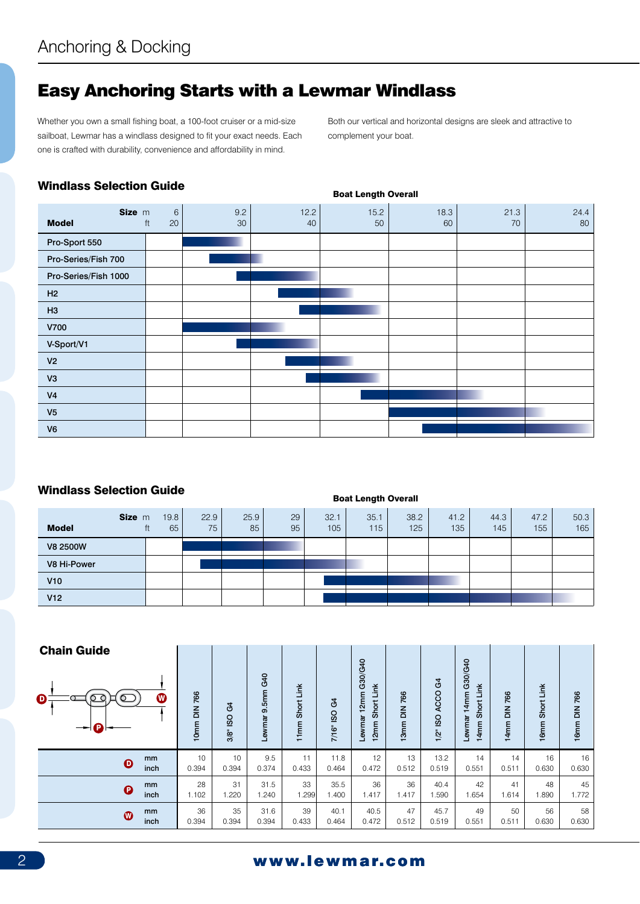## Easy Anchoring Starts with a Lewmar Windlass

Whether you own a small fishing boat, a 100-foot cruiser or a mid-size sailboat, Lewmar has a windlass designed to fit your exact needs. Each one is crafted with durability, convenience and affordability in mind.

Both our vertical and horizontal designs are sleek and attractive to complement your boat.

#### Windlass Selection Guide

Boat Length Overall



## Windlass Selection Guide

| <u>WHIQIASS OCICCIION GAIAC</u> |        |                  |            |            |          | <b>Boat Length Overall</b> |             |             |             |             |             |             |  |
|---------------------------------|--------|------------------|------------|------------|----------|----------------------------|-------------|-------------|-------------|-------------|-------------|-------------|--|
| <b>Model</b>                    | Size m | 19.8<br>65<br>ft | 22.9<br>75 | 25.9<br>85 | 29<br>95 | 32.1<br>105                | 35.1<br>115 | 38.2<br>125 | 41.2<br>135 | 44.3<br>145 | 47.2<br>155 | 50.3<br>165 |  |
| V8 2500W                        |        |                  |            |            |          |                            |             |             |             |             |             |             |  |
| V8 Hi-Power                     |        |                  |            |            |          |                            |             |             |             |             |             |             |  |
| V10                             |        |                  |            |            |          |                            |             |             |             |             |             |             |  |
| V12                             |        |                  |            |            |          |                            |             |             |             |             |             |             |  |

| <b>Chain Guide</b>                  |                 |                  |                  |                                                  |                |                                                                |                                          |                                          |                                                           |                                               |                    |              |
|-------------------------------------|-----------------|------------------|------------------|--------------------------------------------------|----------------|----------------------------------------------------------------|------------------------------------------|------------------------------------------|-----------------------------------------------------------|-----------------------------------------------|--------------------|--------------|
| −<br>$\boldsymbol{\Theta}$          | DIN 766<br>10mm | G4<br>ISO<br>3/8 | Lewmar 9.5mm G40 | Link<br>Short<br>E<br>$\mathbf -$<br>$\mathbf -$ | 3<br>7/16" ISO | G30/G40<br>Short Link<br>12mm<br>Lewmar<br>2mm<br>$\mathbf{r}$ | 766<br>$\frac{2}{5}$<br>3mm<br>$\mathbf$ | $\mathfrak{a}$<br>ACCO<br>ISO<br>$1/2$ " | G30/G40<br>Link<br>14mm<br><b>Short</b><br>Lewrnar<br>4mm | 766<br>$\frac{2}{5}$<br>4mm<br>$\blacksquare$ | Short Link<br>16mm | 16mm DIN 766 |
| mm<br>$\boldsymbol{\Theta}$<br>inch | 10<br>0.394     | 10<br>0.394      | 9.5<br>0.374     | 11<br>0.433                                      | 11.8<br>0.464  | 12<br>0.472                                                    | 13<br>0.512                              | 13.2<br>0.519                            | 14<br>0.551                                               | 14<br>0.511                                   | 16<br>0.630        | 16<br>0.630  |
| mm<br>$\boldsymbol{\Theta}$<br>inch | 28<br>1.102     | 31<br>1.220      | 31.5<br>1.240    | 33<br>.299                                       | 35.5<br>1.400  | 36<br>1.417                                                    | 36<br>1.417                              | 40.4<br>1.590                            | 42<br>1.654                                               | 41<br>1.614                                   | 48<br>1.890        | 45<br>1.772  |
| mm<br>$\boldsymbol{\Phi}$<br>inch   | 36<br>0.394     | 35<br>0.394      | 31.6<br>0.394    | 39<br>0.433                                      | 40.1<br>0.464  | 40.5<br>0.472                                                  | 47<br>0.512                              | 45.7<br>0.519                            | 49<br>0.551                                               | 50<br>0.511                                   | 56<br>0.630        | 58<br>0.630  |

## 2 www.lewmar.com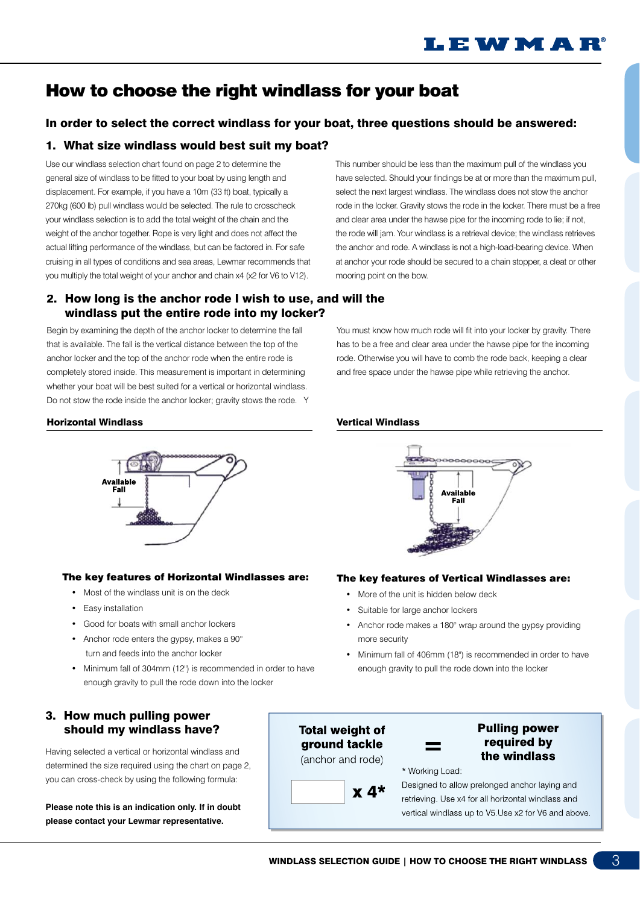## How to choose the right windlass for your boat

## In order to select the correct windlass for your boat, three questions should be answered:

## 1. What size windlass would best suit my boat?

Use our windlass selection chart found on page 2 to determine the general size of windlass to be fitted to your boat by using length and displacement. For example, if you have a 10m (33 ft) boat, typically a 270kg (600 lb) pull windlass would be selected. The rule to crosscheck your windlass selection is to add the total weight of the chain and the weight of the anchor together. Rope is very light and does not affect the actual lifting performance of the windlass, but can be factored in. For safe cruising in all types of conditions and sea areas, Lewmar recommends that you multiply the total weight of your anchor and chain x4 (x2 for V6 to V12).

### 2. How long is the anchor rode I wish to use, and will the windlass put the entire rode into my locker?

Begin by examining the depth of the anchor locker to determine the fall that is available. The fall is the vertical distance between the top of the anchor locker and the top of the anchor rode when the entire rode is completely stored inside. This measurement is important in determining whether your boat will be best suited for a vertical or horizontal windlass. Do not stow the rode inside the anchor locker; gravity stows the rode. Y

This number should be less than the maximum pull of the windlass you have selected. Should your findings be at or more than the maximum pull, select the next largest windlass. The windlass does not stow the anchor rode in the locker. Gravity stows the rode in the locker. There must be a free and clear area under the hawse pipe for the incoming rode to lie; if not, the rode will jam. Your windlass is a retrieval device; the windlass retrieves the anchor and rode. A windlass is not a high-load-bearing device. When at anchor your rode should be secured to a chain stopper, a cleat or other mooring point on the bow.

You must know how much rode will fit into your locker by gravity. There has to be a free and clear area under the hawse pipe for the incoming rode. Otherwise you will have to comb the rode back, keeping a clear and free space under the hawse pipe while retrieving the anchor.

#### Horizontal Windlass



#### The key features of Horizontal Windlasses are:

- Most of the windlass unit is on the deck
- Easy installation
- Good for boats with small anchor lockers
- Anchor rode enters the gypsy, makes a  $90^\circ$ turn and feeds into the anchor locker
- Minimum fall of 304mm (12") is recommended in order to have enough gravity to pull the rode down into the locker

#### 3. How much pulling power should my windlass have?

Having selected a vertical or horizontal windlass and determined the size required using the chart on page 2, you can cross-check by using the following formula:

**Please note this is an indication only. If in doubt please contact your Lewmar representative.**

#### Vertical Windlass



#### The key features of Vertical Windlasses are:

- More of the unit is hidden below deck
- Suitable for large anchor lockers
- Anchor rode makes a  $180^\circ$  wrap around the gypsy providing more security
- Minimum fall of 406mm (18") is recommended in order to have enough gravity to pull the rode down into the locker



 $x 4*$ 

#### **Pulling power** required by the windlass

\* Working Load:

Designed to allow prelonged anchor laying and retrieving. Use x4 for all horizontal windlass and vertical windlass up to V5.Use x2 for V6 and above.